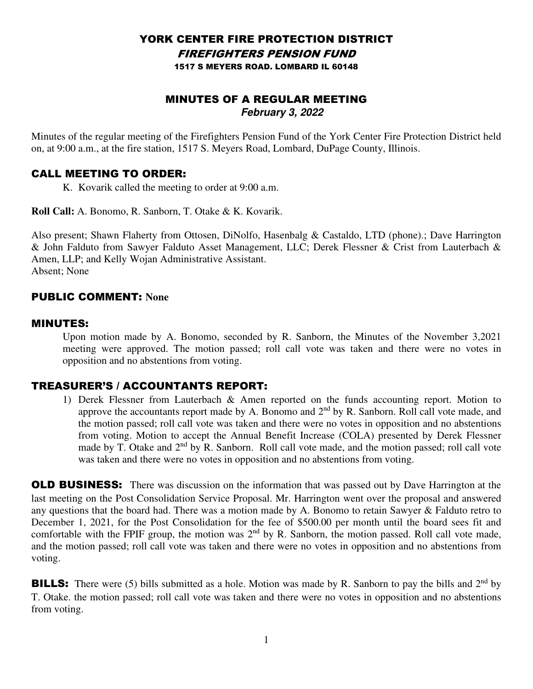#### YORK CENTER FIRE PROTECTION DISTRICT FIREFIGHTERS PENSION FUND 1517 S MEYERS ROAD. LOMBARD IL 60148

# MINUTES OF A REGULAR MEETING **February 3, 2022**

Minutes of the regular meeting of the Firefighters Pension Fund of the York Center Fire Protection District held on, at 9:00 a.m., at the fire station, 1517 S. Meyers Road, Lombard, DuPage County, Illinois.

### CALL MEETING TO ORDER:

K. Kovarik called the meeting to order at 9:00 a.m.

**Roll Call:** A. Bonomo, R. Sanborn, T. Otake & K. Kovarik.

Also present; Shawn Flaherty from Ottosen, DiNolfo, Hasenbalg & Castaldo, LTD (phone).; Dave Harrington & John Falduto from Sawyer Falduto Asset Management, LLC; Derek Flessner & Crist from Lauterbach & Amen, LLP; and Kelly Wojan Administrative Assistant. Absent; None

# PUBLIC COMMENT: **None**

#### MINUTES:

Upon motion made by A. Bonomo, seconded by R. Sanborn, the Minutes of the November 3,2021 meeting were approved. The motion passed; roll call vote was taken and there were no votes in opposition and no abstentions from voting.

# TREASURER'S / ACCOUNTANTS REPORT:

1) Derek Flessner from Lauterbach & Amen reported on the funds accounting report. Motion to approve the accountants report made by A. Bonomo and 2nd by R. Sanborn. Roll call vote made, and the motion passed; roll call vote was taken and there were no votes in opposition and no abstentions from voting. Motion to accept the Annual Benefit Increase (COLA) presented by Derek Flessner made by T. Otake and  $2<sup>nd</sup>$  by R. Sanborn. Roll call vote made, and the motion passed; roll call vote was taken and there were no votes in opposition and no abstentions from voting.

**OLD BUSINESS:** There was discussion on the information that was passed out by Dave Harrington at the last meeting on the Post Consolidation Service Proposal. Mr. Harrington went over the proposal and answered any questions that the board had. There was a motion made by A. Bonomo to retain Sawyer & Falduto retro to December 1, 2021, for the Post Consolidation for the fee of \$500.00 per month until the board sees fit and comfortable with the FPIF group, the motion was  $2<sup>nd</sup>$  by R. Sanborn, the motion passed. Roll call vote made, and the motion passed; roll call vote was taken and there were no votes in opposition and no abstentions from voting.

**BILLS:** There were (5) bills submitted as a hole. Motion was made by R. Sanborn to pay the bills and 2<sup>nd</sup> by T. Otake. the motion passed; roll call vote was taken and there were no votes in opposition and no abstentions from voting.